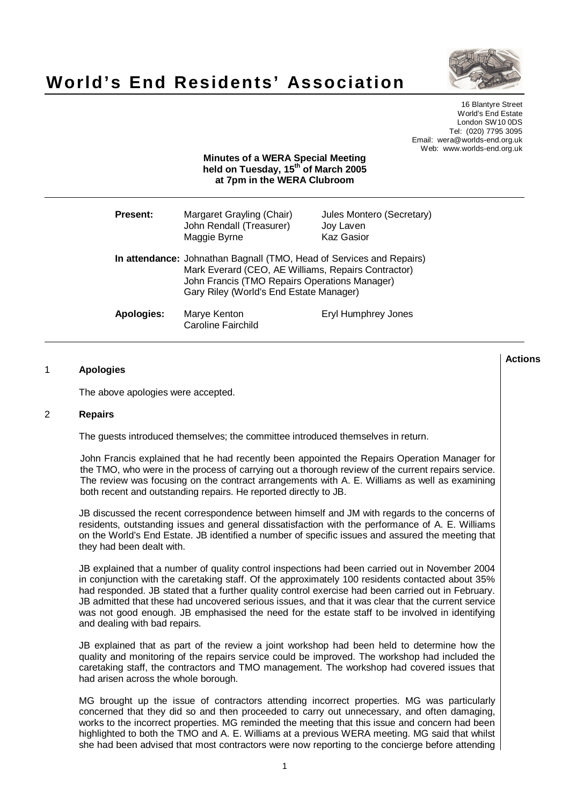



16 Blantyre Street World's End Estate London SW10 0DS Tel: (020) 7795 3095 Email: wera@worlds-end.org.uk Web: www.worlds-end.org.uk

# **Minutes of a WERA Special Meeting held on Tuesday, 15 th of March 2005 at 7pm in the WERA Clubroom**

| Present:          | Margaret Grayling (Chair)<br>John Rendall (Treasurer)<br>Maggie Byrne                                                                                                                                                   | Jules Montero (Secretary)<br>Joy Laven<br><b>Kaz Gasior</b> |
|-------------------|-------------------------------------------------------------------------------------------------------------------------------------------------------------------------------------------------------------------------|-------------------------------------------------------------|
|                   | In attendance: Johnathan Bagnall (TMO, Head of Services and Repairs)<br>Mark Everard (CEO, AE Williams, Repairs Contractor)<br>John Francis (TMO Repairs Operations Manager)<br>Gary Riley (World's End Estate Manager) |                                                             |
| <b>Apologies:</b> | Marye Kenton<br><b>Caroline Fairchild</b>                                                                                                                                                                               | Eryl Humphrey Jones                                         |

### 1 **Apologies**

The above apologies were accepted.

#### 2 **Repairs**

The guests introduced themselves; the committee introduced themselves in return.

John Francis explained that he had recently been appointed the Repairs Operation Manager for the TMO, who were in the process of carrying out a thorough review of the current repairs service. The review was focusing on the contract arrangements with A. E. Williams as well as examining both recent and outstanding repairs. He reported directly to JB.

JB discussed the recent correspondence between himself and JM with regards to the concerns of residents, outstanding issues and general dissatisfaction with the performance of A. E. Williams on the World's End Estate. JB identified a number of specific issues and assured the meeting that they had been dealt with.

JB explained that a number of quality control inspections had been carried out in November 2004 in conjunction with the caretaking staff. Of the approximately 100 residents contacted about 35% had responded. JB stated that a further quality control exercise had been carried out in February. JB admitted that these had uncovered serious issues, and that it was clear that the current service was not good enough. JB emphasised the need for the estate staff to be involved in identifying and dealing with bad repairs.

JB explained that as part of the review a joint workshop had been held to determine how the quality and monitoring of the repairs service could be improved. The workshop had included the caretaking staff, the contractors and TMO management. The workshop had covered issues that had arisen across the whole borough.

MG brought up the issue of contractors attending incorrect properties. MG was particularly concerned that they did so and then proceeded to carry out unnecessary, and often damaging, works to the incorrect properties. MG reminded the meeting that this issue and concern had been highlighted to both the TMO and A. E. Williams at a previous WERA meeting. MG said that whilst she had been advised that most contractors were now reporting to the concierge before attending

**Actions**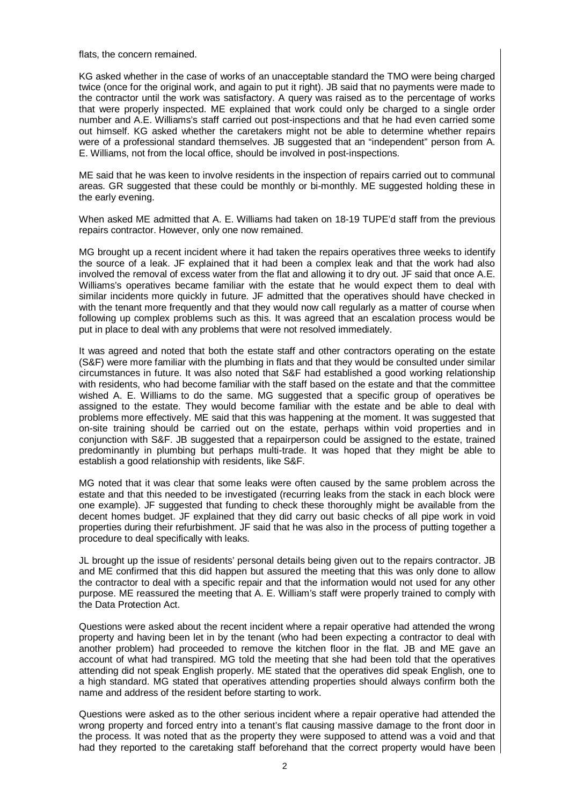flats, the concern remained.

KG asked whether in the case of works of an unacceptable standard the TMO were being charged twice (once for the original work, and again to put it right). JB said that no payments were made to the contractor until the work was satisfactory. A query was raised as to the percentage of works that were properly inspected. ME explained that work could only be charged to a single order number and A.E. Williams's staff carried out post-inspections and that he had even carried some out himself. KG asked whether the caretakers might not be able to determine whether repairs were of a professional standard themselves. JB suggested that an "independent" person from A. E. Williams, not from the local office, should be involved in post-inspections.

ME said that he was keen to involve residents in the inspection of repairs carried out to communal areas. GR suggested that these could be monthly or bi-monthly. ME suggested holding these in the early evening.

When asked ME admitted that A. E. Williams had taken on 18-19 TUPE'd staff from the previous repairs contractor. However, only one now remained.

MG brought up a recent incident where it had taken the repairs operatives three weeks to identify the source of a leak. JF explained that it had been a complex leak and that the work had also involved the removal of excess water from the flat and allowing it to dry out. JF said that once A.E. Williams's operatives became familiar with the estate that he would expect them to deal with similar incidents more quickly in future. JF admitted that the operatives should have checked in with the tenant more frequently and that they would now call regularly as a matter of course when following up complex problems such as this. It was agreed that an escalation process would be put in place to deal with any problems that were not resolved immediately.

It was agreed and noted that both the estate staff and other contractors operating on the estate (S&F) were more familiar with the plumbing in flats and that they would be consulted under similar circumstances in future. It was also noted that S&F had established a good working relationship with residents, who had become familiar with the staff based on the estate and that the committee wished A. E. Williams to do the same. MG suggested that a specific group of operatives be assigned to the estate. They would become familiar with the estate and be able to deal with problems more effectively. ME said that this was happening at the moment. It was suggested that on-site training should be carried out on the estate, perhaps within void properties and in conjunction with S&F. JB suggested that a repairperson could be assigned to the estate, trained predominantly in plumbing but perhaps multi-trade. It was hoped that they might be able to establish a good relationship with residents, like S&F.

MG noted that it was clear that some leaks were often caused by the same problem across the estate and that this needed to be investigated (recurring leaks from the stack in each block were one example). JF suggested that funding to check these thoroughly might be available from the decent homes budget. JF explained that they did carry out basic checks of all pipe work in void properties during their refurbishment. JF said that he was also in the process of putting together a procedure to deal specifically with leaks.

JL brought up the issue of residents' personal details being given out to the repairs contractor. JB and ME confirmed that this did happen but assured the meeting that this was only done to allow the contractor to deal with a specific repair and that the information would not used for any other purpose. ME reassured the meeting that A. E. William's staff were properly trained to comply with the Data Protection Act.

Questions were asked about the recent incident where a repair operative had attended the wrong property and having been let in by the tenant (who had been expecting a contractor to deal with another problem) had proceeded to remove the kitchen floor in the flat. JB and ME gave an account of what had transpired. MG told the meeting that she had been told that the operatives attending did not speak English properly. ME stated that the operatives did speak English, one to a high standard. MG stated that operatives attending properties should always confirm both the name and address of the resident before starting to work.

Questions were asked as to the other serious incident where a repair operative had attended the wrong property and forced entry into a tenant's flat causing massive damage to the front door in the process. It was noted that as the property they were supposed to attend was a void and that had they reported to the caretaking staff beforehand that the correct property would have been